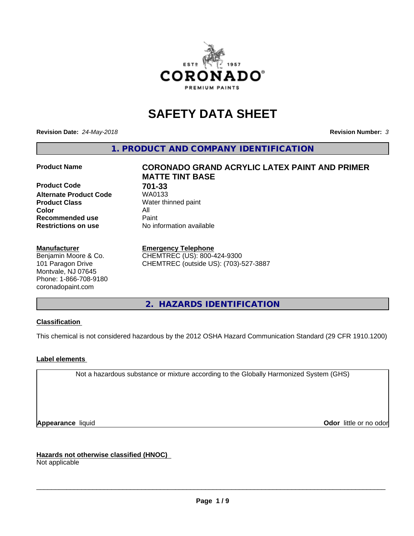

# **SAFETY DATA SHEET**

**Revision Date:** *24-May-2018* **Revision Number:** *3*

**1. PRODUCT AND COMPANY IDENTIFICATION**

**Product Code 701-33 Alternate Product Code Product Class** Water thinned paint<br> **Color** All **Color** All **Recommended use** Paint<br> **Restrictions on use** Mo information available **Restrictions on use** 

# **Manufacturer**

Benjamin Moore & Co. 101 Paragon Drive Montvale, NJ 07645 Phone: 1-866-708-9180 coronadopaint.com

# **Product Name CORONADO GRAND ACRYLIC LATEX PAINT AND PRIMER MATTE TINT BASE**

# **Emergency Telephone**

CHEMTREC (US): 800-424-9300 CHEMTREC (outside US): (703)-527-3887

**2. HAZARDS IDENTIFICATION**

# **Classification**

This chemical is not considered hazardous by the 2012 OSHA Hazard Communication Standard (29 CFR 1910.1200)

# **Label elements**

Not a hazardous substance or mixture according to the Globally Harmonized System (GHS)

**Appearance** liquid **Contract Contract Contract Contract Contract Contract Contract Contract Contract Contract Contract Contract Contract Contract Contract Contract Contract Contract Contract Contract Contract Contract Con** 

**Hazards not otherwise classified (HNOC)**

Not applicable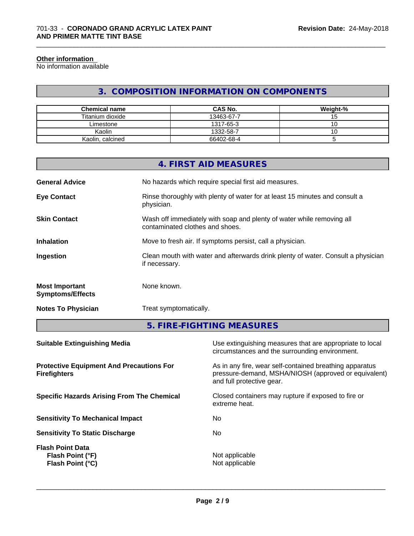#### **Other information**

No information available

# **3. COMPOSITION INFORMATION ON COMPONENTS**

\_\_\_\_\_\_\_\_\_\_\_\_\_\_\_\_\_\_\_\_\_\_\_\_\_\_\_\_\_\_\_\_\_\_\_\_\_\_\_\_\_\_\_\_\_\_\_\_\_\_\_\_\_\_\_\_\_\_\_\_\_\_\_\_\_\_\_\_\_\_\_\_\_\_\_\_\_\_\_\_\_\_\_\_\_\_\_\_\_\_\_\_\_

| <b>Chemical name</b> | <b>CAS No.</b> | Weight-% |
|----------------------|----------------|----------|
| Titanium dioxide     | 13463-67-7     | שו       |
| ∟imestone            | 1317-65-3      | ◡        |
| Kaolin               | 1332-58-7      | ັບ       |
| Kaolin, calcined     | 66402-68-4     |          |

|                                                  | 4. FIRST AID MEASURES                                                                                    |
|--------------------------------------------------|----------------------------------------------------------------------------------------------------------|
| <b>General Advice</b>                            | No hazards which require special first aid measures.                                                     |
| <b>Eye Contact</b>                               | Rinse thoroughly with plenty of water for at least 15 minutes and consult a<br>physician.                |
| <b>Skin Contact</b>                              | Wash off immediately with soap and plenty of water while removing all<br>contaminated clothes and shoes. |
| <b>Inhalation</b>                                | Move to fresh air. If symptoms persist, call a physician.                                                |
| Ingestion                                        | Clean mouth with water and afterwards drink plenty of water. Consult a physician<br>if necessary.        |
| <b>Most Important</b><br><b>Symptoms/Effects</b> | None known.                                                                                              |
|                                                  |                                                                                                          |

**Notes To Physician** Treat symptomatically.

**5. FIRE-FIGHTING MEASURES**

| Use extinguishing measures that are appropriate to local<br>circumstances and the surrounding environment.                                   |
|----------------------------------------------------------------------------------------------------------------------------------------------|
| As in any fire, wear self-contained breathing apparatus<br>pressure-demand, MSHA/NIOSH (approved or equivalent)<br>and full protective gear. |
| Closed containers may rupture if exposed to fire or<br>extreme heat.                                                                         |
| No.                                                                                                                                          |
| No.                                                                                                                                          |
| Not applicable<br>Not applicable                                                                                                             |
|                                                                                                                                              |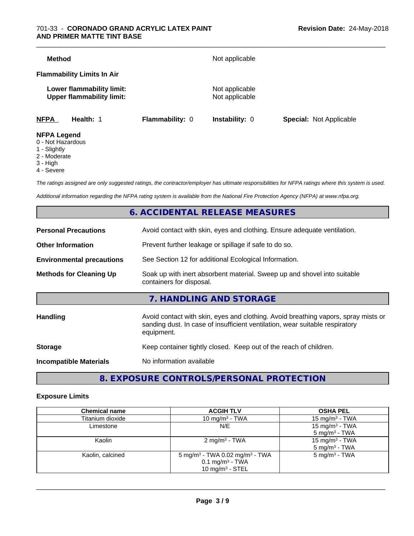# 701-33 - **CORONADO GRAND ACRYLIC LATEX PAINT AND PRIMER MATTE TINT BASE**

| <b>NFPA</b>   | Health: 1                                                     | <b>Flammability: 0</b> | <b>Instability: 0</b>            | <b>Special: Not Applicable</b> |
|---------------|---------------------------------------------------------------|------------------------|----------------------------------|--------------------------------|
|               | Lower flammability limit:<br><b>Upper flammability limit:</b> |                        | Not applicable<br>Not applicable |                                |
|               | <b>Flammability Limits In Air</b>                             |                        |                                  |                                |
| <b>Method</b> |                                                               |                        | Not applicable                   |                                |

- 0 Not Hazardous
- 1 Slightly
- 2 Moderate
- 3 High
- 4 Severe

*The ratings assigned are only suggested ratings, the contractor/employer has ultimate responsibilities for NFPA ratings where this system is used.*

*Additional information regarding the NFPA rating system is available from the National Fire Protection Agency (NFPA) at www.nfpa.org.*

# **6. ACCIDENTAL RELEASE MEASURES**

| <b>Personal Precautions</b>      | Avoid contact with skin, eyes and clothing. Ensure adequate ventilation.                                                                                                         |
|----------------------------------|----------------------------------------------------------------------------------------------------------------------------------------------------------------------------------|
| <b>Other Information</b>         | Prevent further leakage or spillage if safe to do so.                                                                                                                            |
| <b>Environmental precautions</b> | See Section 12 for additional Ecological Information.                                                                                                                            |
| <b>Methods for Cleaning Up</b>   | Soak up with inert absorbent material. Sweep up and shovel into suitable<br>containers for disposal.                                                                             |
|                                  | 7. HANDLING AND STORAGE                                                                                                                                                          |
| Handling                         | Avoid contact with skin, eyes and clothing. Avoid breathing vapors, spray mists or<br>sanding dust. In case of insufficient ventilation, wear suitable respiratory<br>equipment. |
| <b>Storage</b>                   | Keep container tightly closed. Keep out of the reach of children.                                                                                                                |
| <b>Incompatible Materials</b>    | No information available                                                                                                                                                         |
|                                  |                                                                                                                                                                                  |

**8. EXPOSURE CONTROLS/PERSONAL PROTECTION**

# **Exposure Limits**

| <b>Chemical name</b> | <b>ACGIH TLV</b>                                                                                              | <b>OSHA PEL</b>                                        |
|----------------------|---------------------------------------------------------------------------------------------------------------|--------------------------------------------------------|
| Titanium dioxide     | 10 mg/m $3$ - TWA                                                                                             | 15 mg/m $3$ - TWA                                      |
| Limestone            | N/E                                                                                                           | 15 mg/m <sup>3</sup> - TWA<br>$5 \text{ mg/m}^3$ - TWA |
| Kaolin               | $2 \text{ mg/m}^3$ - TWA                                                                                      | 15 mg/m <sup>3</sup> - TWA<br>$5 \text{ mg/m}^3$ - TWA |
| Kaolin, calcined     | 5 mg/m <sup>3</sup> - TWA 0.02 mg/m <sup>3</sup> - TWA<br>$0.1$ mg/m <sup>3</sup> - TWA<br>10 mg/m $3 -$ STEL | $5 \text{ mg/m}^3$ - TWA                               |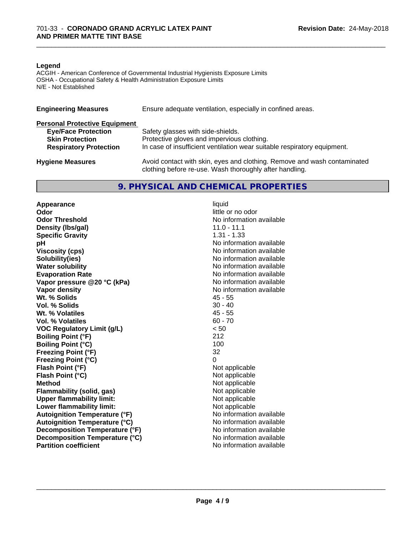### **Legend**

ACGIH - American Conference of Governmental Industrial Hygienists Exposure Limits OSHA - Occupational Safety & Health Administration Exposure Limits N/E - Not Established

| <b>Engineering Measures</b>          | Ensure adequate ventilation, especially in confined areas.               |  |  |  |
|--------------------------------------|--------------------------------------------------------------------------|--|--|--|
| <b>Personal Protective Equipment</b> |                                                                          |  |  |  |
| <b>Eye/Face Protection</b>           | Safety glasses with side-shields.                                        |  |  |  |
| <b>Skin Protection</b>               | Protective gloves and impervious clothing.                               |  |  |  |
| <b>Respiratory Protection</b>        | In case of insufficient ventilation wear suitable respiratory equipment. |  |  |  |
| <b>Hygiene Measures</b>              | Avoid contact with skin, eyes and clothing. Remove and wash contaminated |  |  |  |
|                                      | clothing before re-use. Wash thoroughly after handling.                  |  |  |  |

# **9. PHYSICAL AND CHEMICAL PROPERTIES**

**Appearance** liquid<br> **Appearance** liquid<br> **Odor Odor Threshold No information available No information available Density (Ibs/gal)** 11.0 - 11.1<br> **Specific Gravity** 1.31 - 1.33 **Specific Gravity**<br>pH **Viscosity (cps)** No information available **Solubility(ies)** No information available **Water solubility** No information available **Evaporation Rate No information available No information available Vapor pressure @20 °C (kPa)** No information available **Vapor density**<br> **We Solids**<br>
We Solid Wit, % Solids
and Minimal Contract Minimal Contract Minimal As - 55 Wt. % Solids **Vol. % Solids** 30 - 40 **Wt. % Volatiles** 45 - 55<br> **Vol. % Volatiles** 60 - 70 **Vol. % Volatiles VOC Regulatory Limit (g/L)** < 50 **Boiling Point (°F)** 212 **Boiling Point (°C)** 100 **Freezing Point (°F)** 32 **Freezing Point (°C)** 0 **Flash Point (°F)** Not applicable **Flash Point (°C)** Not applicable **Method**<br> **Flammability (solid, gas)**<br> **Commability (solid, gas)**<br>
Mot applicable **Flammability** (solid, gas) **Upper flammability limit:**<br> **Lower flammability limit:** Not applicable Not applicable **Lower flammability limit:**<br> **Autoignition Temperature (°F)** Not applicable available and the Mustafable and Mustafable and Mustafable and Mu **Autoignition Temperature (°F) Autoignition Temperature (°C)** No information available **Decomposition Temperature (°F)** No information available **Decomposition Temperature (°C)** No information available **Partition coefficient** and the settlement of the settlement of the No information available

**Odor** little or no odor **No information available** 

 $\overline{\phantom{a}}$  ,  $\overline{\phantom{a}}$  ,  $\overline{\phantom{a}}$  ,  $\overline{\phantom{a}}$  ,  $\overline{\phantom{a}}$  ,  $\overline{\phantom{a}}$  ,  $\overline{\phantom{a}}$  ,  $\overline{\phantom{a}}$  ,  $\overline{\phantom{a}}$  ,  $\overline{\phantom{a}}$  ,  $\overline{\phantom{a}}$  ,  $\overline{\phantom{a}}$  ,  $\overline{\phantom{a}}$  ,  $\overline{\phantom{a}}$  ,  $\overline{\phantom{a}}$  ,  $\overline{\phantom{a}}$ 

\_\_\_\_\_\_\_\_\_\_\_\_\_\_\_\_\_\_\_\_\_\_\_\_\_\_\_\_\_\_\_\_\_\_\_\_\_\_\_\_\_\_\_\_\_\_\_\_\_\_\_\_\_\_\_\_\_\_\_\_\_\_\_\_\_\_\_\_\_\_\_\_\_\_\_\_\_\_\_\_\_\_\_\_\_\_\_\_\_\_\_\_\_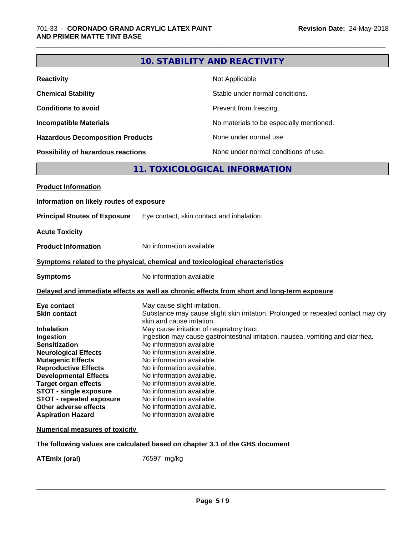|                                                                                                                                                                                                                                                                                                                           |                                                                                                                                                                                                                                                                                                   | 10. STABILITY AND REACTIVITY                                                                                                                                                                                       |
|---------------------------------------------------------------------------------------------------------------------------------------------------------------------------------------------------------------------------------------------------------------------------------------------------------------------------|---------------------------------------------------------------------------------------------------------------------------------------------------------------------------------------------------------------------------------------------------------------------------------------------------|--------------------------------------------------------------------------------------------------------------------------------------------------------------------------------------------------------------------|
| <b>Reactivity</b>                                                                                                                                                                                                                                                                                                         |                                                                                                                                                                                                                                                                                                   | Not Applicable                                                                                                                                                                                                     |
| <b>Chemical Stability</b>                                                                                                                                                                                                                                                                                                 |                                                                                                                                                                                                                                                                                                   | Stable under normal conditions.                                                                                                                                                                                    |
| <b>Conditions to avoid</b>                                                                                                                                                                                                                                                                                                |                                                                                                                                                                                                                                                                                                   | Prevent from freezing.                                                                                                                                                                                             |
| <b>Incompatible Materials</b>                                                                                                                                                                                                                                                                                             |                                                                                                                                                                                                                                                                                                   | No materials to be especially mentioned.                                                                                                                                                                           |
| <b>Hazardous Decomposition Products</b>                                                                                                                                                                                                                                                                                   |                                                                                                                                                                                                                                                                                                   | None under normal use.                                                                                                                                                                                             |
| Possibility of hazardous reactions                                                                                                                                                                                                                                                                                        |                                                                                                                                                                                                                                                                                                   | None under normal conditions of use.                                                                                                                                                                               |
|                                                                                                                                                                                                                                                                                                                           |                                                                                                                                                                                                                                                                                                   | 11. TOXICOLOGICAL INFORMATION                                                                                                                                                                                      |
| <b>Product Information</b>                                                                                                                                                                                                                                                                                                |                                                                                                                                                                                                                                                                                                   |                                                                                                                                                                                                                    |
| Information on likely routes of exposure                                                                                                                                                                                                                                                                                  |                                                                                                                                                                                                                                                                                                   |                                                                                                                                                                                                                    |
| <b>Principal Routes of Exposure</b>                                                                                                                                                                                                                                                                                       |                                                                                                                                                                                                                                                                                                   | Eye contact, skin contact and inhalation.                                                                                                                                                                          |
| <b>Acute Toxicity</b>                                                                                                                                                                                                                                                                                                     |                                                                                                                                                                                                                                                                                                   |                                                                                                                                                                                                                    |
| <b>Product Information</b>                                                                                                                                                                                                                                                                                                | No information available                                                                                                                                                                                                                                                                          |                                                                                                                                                                                                                    |
| Symptoms related to the physical, chemical and toxicological characteristics                                                                                                                                                                                                                                              |                                                                                                                                                                                                                                                                                                   |                                                                                                                                                                                                                    |
| <b>Symptoms</b>                                                                                                                                                                                                                                                                                                           | No information available                                                                                                                                                                                                                                                                          |                                                                                                                                                                                                                    |
|                                                                                                                                                                                                                                                                                                                           | Delayed and immediate effects as well as chronic effects from short and long-term exposure                                                                                                                                                                                                        |                                                                                                                                                                                                                    |
| Eye contact<br><b>Skin contact</b><br><b>Inhalation</b><br>Ingestion<br><b>Sensitization</b><br><b>Neurological Effects</b><br><b>Mutagenic Effects</b><br><b>Reproductive Effects</b><br><b>Developmental Effects</b><br><b>Target organ effects</b><br><b>STOT - single exposure</b><br><b>STOT - repeated exposure</b> | May cause slight irritation.<br>skin and cause irritation.<br>No information available<br>No information available.<br>No information available.<br>No information available.<br>No information available.<br>No information available.<br>No information available.<br>No information available. | Substance may cause slight skin irritation. Prolonged or repeated contact may dry<br>May cause irritation of respiratory tract.<br>Ingestion may cause gastrointestinal irritation, nausea, vomiting and diarrhea. |
| Other adverse effects<br><b>Aspiration Hazard</b>                                                                                                                                                                                                                                                                         | No information available.<br>No information available                                                                                                                                                                                                                                             |                                                                                                                                                                                                                    |
| <b>Numerical measures of toxicity</b>                                                                                                                                                                                                                                                                                     |                                                                                                                                                                                                                                                                                                   |                                                                                                                                                                                                                    |
| The following values are calculated based on chapter 3.1 of the GHS document                                                                                                                                                                                                                                              |                                                                                                                                                                                                                                                                                                   |                                                                                                                                                                                                                    |

**ATEmix (oral)** 76597 mg/kg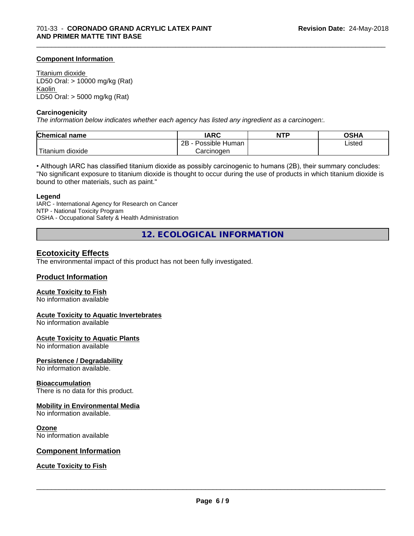# **Component Information**

Titanium dioxide LD50 Oral: > 10000 mg/kg (Rat) Kaolin LD50 Oral: > 5000 mg/kg (Rat)

#### **Carcinogenicity**

*The information below indicateswhether each agency has listed any ingredient as a carcinogen:.*

| <b>Chemical name</b>                | <b>IARC</b>                 | <b>NTP</b> | OSHA   |
|-------------------------------------|-----------------------------|------------|--------|
|                                     | . .<br>2B<br>Possible Human |            | Listed |
| <b>TELL</b><br>dioxide<br>l itanıum | Carcinoɑen                  |            |        |

\_\_\_\_\_\_\_\_\_\_\_\_\_\_\_\_\_\_\_\_\_\_\_\_\_\_\_\_\_\_\_\_\_\_\_\_\_\_\_\_\_\_\_\_\_\_\_\_\_\_\_\_\_\_\_\_\_\_\_\_\_\_\_\_\_\_\_\_\_\_\_\_\_\_\_\_\_\_\_\_\_\_\_\_\_\_\_\_\_\_\_\_\_

• Although IARC has classified titanium dioxide as possibly carcinogenic to humans (2B), their summary concludes: "No significant exposure to titanium dioxide is thought to occur during the use of products in which titanium dioxide is bound to other materials, such as paint."

#### **Legend**

IARC - International Agency for Research on Cancer NTP - National Toxicity Program OSHA - Occupational Safety & Health Administration

**12. ECOLOGICAL INFORMATION**

# **Ecotoxicity Effects**

The environmental impact of this product has not been fully investigated.

# **Product Information**

# **Acute Toxicity to Fish**

No information available

# **Acute Toxicity to Aquatic Invertebrates**

No information available

#### **Acute Toxicity to Aquatic Plants**

No information available

# **Persistence / Degradability**

No information available.

#### **Bioaccumulation**

There is no data for this product.

# **Mobility in Environmental Media**

No information available.

#### **Ozone**

No information available

# **Component Information**

# **Acute Toxicity to Fish**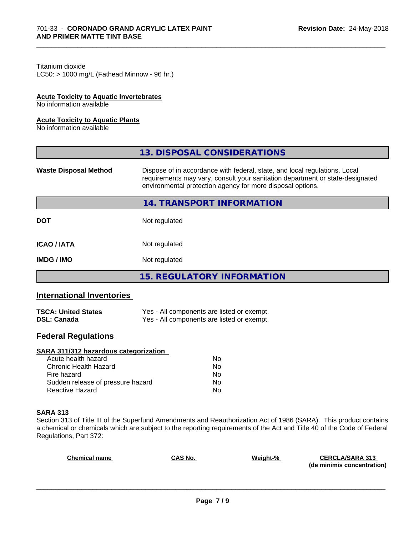# Titanium dioxide

 $LC50:$  > 1000 mg/L (Fathead Minnow - 96 hr.)

# **Acute Toxicity to Aquatic Invertebrates**

No information available

#### **Acute Toxicity to Aquatic Plants**

No information available

|                              | 13. DISPOSAL CONSIDERATIONS                                                                                                                                                                                               |
|------------------------------|---------------------------------------------------------------------------------------------------------------------------------------------------------------------------------------------------------------------------|
| <b>Waste Disposal Method</b> | Dispose of in accordance with federal, state, and local regulations. Local<br>requirements may vary, consult your sanitation department or state-designated<br>environmental protection agency for more disposal options. |
|                              | 14. TRANSPORT INFORMATION                                                                                                                                                                                                 |
| <b>DOT</b>                   | Not regulated                                                                                                                                                                                                             |
| <b>ICAO/IATA</b>             | Not regulated                                                                                                                                                                                                             |
| <b>IMDG/IMO</b>              | Not regulated                                                                                                                                                                                                             |
|                              | 15. REGULATORY INFORMATION                                                                                                                                                                                                |

\_\_\_\_\_\_\_\_\_\_\_\_\_\_\_\_\_\_\_\_\_\_\_\_\_\_\_\_\_\_\_\_\_\_\_\_\_\_\_\_\_\_\_\_\_\_\_\_\_\_\_\_\_\_\_\_\_\_\_\_\_\_\_\_\_\_\_\_\_\_\_\_\_\_\_\_\_\_\_\_\_\_\_\_\_\_\_\_\_\_\_\_\_

# **International Inventories**

| <b>TSCA: United States</b> | Yes - All components are listed or exempt. |
|----------------------------|--------------------------------------------|
| <b>DSL: Canada</b>         | Yes - All components are listed or exempt. |

# **Federal Regulations**

# **SARA 311/312 hazardous categorization**

| Acute health hazard               | No |
|-----------------------------------|----|
| Chronic Health Hazard             | Nο |
| Fire hazard                       | N٥ |
| Sudden release of pressure hazard | Nο |
| Reactive Hazard                   | N٥ |

#### **SARA 313**

Section 313 of Title III of the Superfund Amendments and Reauthorization Act of 1986 (SARA). This product contains a chemical or chemicals which are subject to the reporting requirements of the Act and Title 40 of the Code of Federal Regulations, Part 372:

| <b>Chemical name</b> | <b>CAS No.</b> | Weight-% | <b>CERCLA/SARA 313</b>     |
|----------------------|----------------|----------|----------------------------|
|                      |                |          | (de minimis concentration) |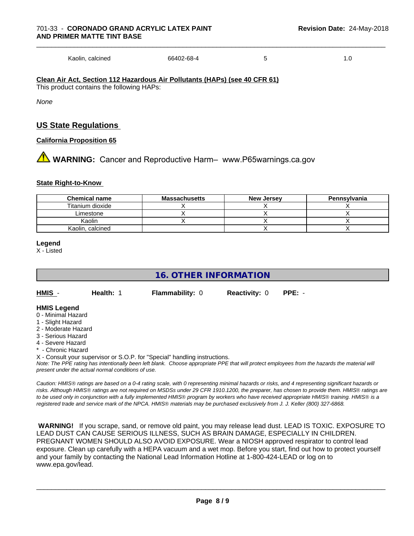Kaolin, calcined 66402-68-4 5 1.0

**Clean Air Act,Section 112 Hazardous Air Pollutants (HAPs) (see 40 CFR 61)** This product contains the following HAPs:

*None*

# **US State Regulations**

# **California Proposition 65**

**1** WARNING: Cancer and Reproductive Harm– www.P65warnings.ca.gov

# **State Right-to-Know**

| <b>Chemical name</b> | <b>Massachusetts</b> | <b>New Jersey</b> | Pennsylvania |
|----------------------|----------------------|-------------------|--------------|
| Titanium dioxide     |                      |                   |              |
| Limestone            |                      |                   |              |
| Kaolin               |                      |                   |              |
| Kaolin, calcined     |                      |                   |              |

#### **Legend**

X - Listed

# **16. OTHER INFORMATION**

| HMIS | Health: 1 | <b>Flammability: 0</b> | <b>Reactivity: 0 PPE: -</b> |  |
|------|-----------|------------------------|-----------------------------|--|
|      |           |                        |                             |  |

# **HMIS Legend**

- 0 Minimal Hazard
- 1 Slight Hazard
- 2 Moderate Hazard
- 3 Serious Hazard
- 4 Severe Hazard
- \* Chronic Hazard

X - Consult your supervisor or S.O.P. for "Special" handling instructions.

*Note: The PPE rating has intentionally been left blank. Choose appropriate PPE that will protect employees from the hazards the material will present under the actual normal conditions of use.*

*Caution: HMISÒ ratings are based on a 0-4 rating scale, with 0 representing minimal hazards or risks, and 4 representing significant hazards or risks. Although HMISÒ ratings are not required on MSDSs under 29 CFR 1910.1200, the preparer, has chosen to provide them. HMISÒ ratings are to be used only in conjunction with a fully implemented HMISÒ program by workers who have received appropriate HMISÒ training. HMISÒ is a registered trade and service mark of the NPCA. HMISÒ materials may be purchased exclusively from J. J. Keller (800) 327-6868.*

 **WARNING!** If you scrape, sand, or remove old paint, you may release lead dust. LEAD IS TOXIC. EXPOSURE TO LEAD DUST CAN CAUSE SERIOUS ILLNESS, SUCH AS BRAIN DAMAGE, ESPECIALLY IN CHILDREN. PREGNANT WOMEN SHOULD ALSO AVOID EXPOSURE. Wear a NIOSH approved respirator to control lead exposure. Clean up carefully with a HEPA vacuum and a wet mop. Before you start, find out how to protect yourself and your family by contacting the National Lead Information Hotline at 1-800-424-LEAD or log on to www.epa.gov/lead.